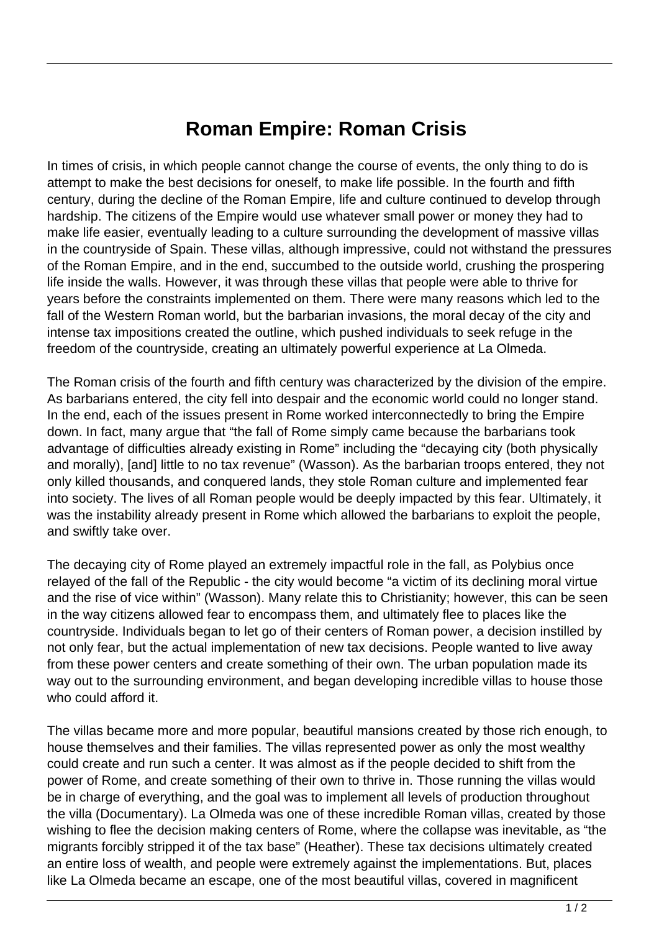## **Roman Empire: Roman Crisis**

In times of crisis, in which people cannot change the course of events, the only thing to do is attempt to make the best decisions for oneself, to make life possible. In the fourth and fifth century, during the decline of the Roman Empire, life and culture continued to develop through hardship. The citizens of the Empire would use whatever small power or money they had to make life easier, eventually leading to a culture surrounding the development of massive villas in the countryside of Spain. These villas, although impressive, could not withstand the pressures of the Roman Empire, and in the end, succumbed to the outside world, crushing the prospering life inside the walls. However, it was through these villas that people were able to thrive for years before the constraints implemented on them. There were many reasons which led to the fall of the Western Roman world, but the barbarian invasions, the moral decay of the city and intense tax impositions created the outline, which pushed individuals to seek refuge in the freedom of the countryside, creating an ultimately powerful experience at La Olmeda.

The Roman crisis of the fourth and fifth century was characterized by the division of the empire. As barbarians entered, the city fell into despair and the economic world could no longer stand. In the end, each of the issues present in Rome worked interconnectedly to bring the Empire down. In fact, many argue that "the fall of Rome simply came because the barbarians took advantage of difficulties already existing in Rome" including the "decaying city (both physically and morally), [and] little to no tax revenue" (Wasson). As the barbarian troops entered, they not only killed thousands, and conquered lands, they stole Roman culture and implemented fear into society. The lives of all Roman people would be deeply impacted by this fear. Ultimately, it was the instability already present in Rome which allowed the barbarians to exploit the people, and swiftly take over.

The decaying city of Rome played an extremely impactful role in the fall, as Polybius once relayed of the fall of the Republic - the city would become "a victim of its declining moral virtue and the rise of vice within" (Wasson). Many relate this to Christianity; however, this can be seen in the way citizens allowed fear to encompass them, and ultimately flee to places like the countryside. Individuals began to let go of their centers of Roman power, a decision instilled by not only fear, but the actual implementation of new tax decisions. People wanted to live away from these power centers and create something of their own. The urban population made its way out to the surrounding environment, and began developing incredible villas to house those who could afford it.

The villas became more and more popular, beautiful mansions created by those rich enough, to house themselves and their families. The villas represented power as only the most wealthy could create and run such a center. It was almost as if the people decided to shift from the power of Rome, and create something of their own to thrive in. Those running the villas would be in charge of everything, and the goal was to implement all levels of production throughout the villa (Documentary). La Olmeda was one of these incredible Roman villas, created by those wishing to flee the decision making centers of Rome, where the collapse was inevitable, as "the migrants forcibly stripped it of the tax base" (Heather). These tax decisions ultimately created an entire loss of wealth, and people were extremely against the implementations. But, places like La Olmeda became an escape, one of the most beautiful villas, covered in magnificent